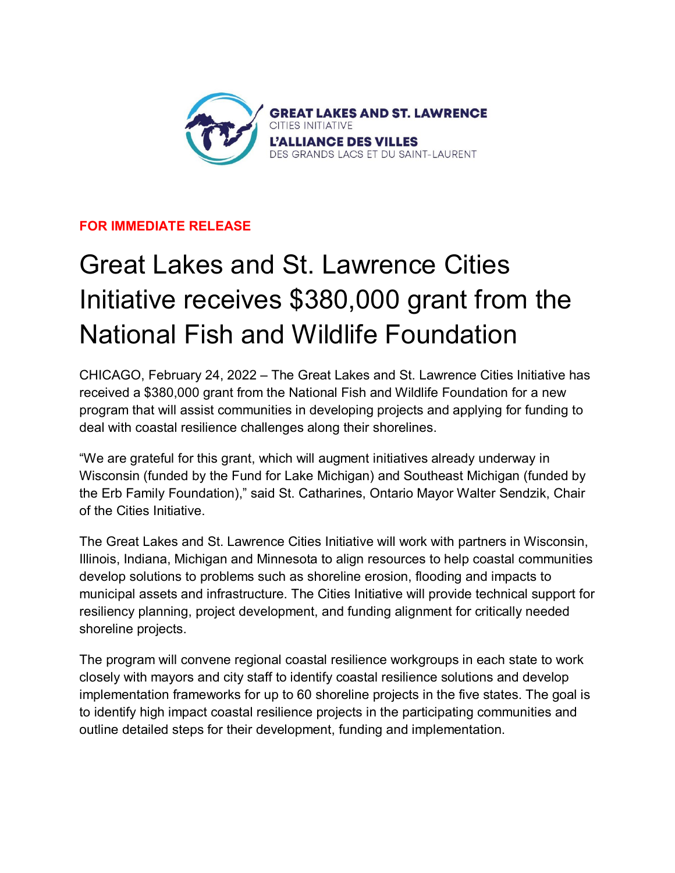

## **FOR IMMEDIATE RELEASE**

## Great Lakes and St. Lawrence Cities Initiative receives \$380,000 grant from the National Fish and Wildlife Foundation

CHICAGO, February 24, 2022 – The Great Lakes and St. Lawrence Cities Initiative has received a \$380,000 grant from the National Fish and Wildlife Foundation for a new program that will assist communities in developing projects and applying for funding to deal with coastal resilience challenges along their shorelines.

"We are grateful for this grant, which will augment initiatives already underway in Wisconsin (funded by the Fund for Lake Michigan) and Southeast Michigan (funded by the Erb Family Foundation)," said St. Catharines, Ontario Mayor Walter Sendzik, Chair of the Cities Initiative.

The Great Lakes and St. Lawrence Cities Initiative will work with partners in Wisconsin, Illinois, Indiana, Michigan and Minnesota to align resources to help coastal communities develop solutions to problems such as shoreline erosion, flooding and impacts to municipal assets and infrastructure. The Cities Initiative will provide technical support for resiliency planning, project development, and funding alignment for critically needed shoreline projects.

The program will convene regional coastal resilience workgroups in each state to work closely with mayors and city staff to identify coastal resilience solutions and develop implementation frameworks for up to 60 shoreline projects in the five states. The goal is to identify high impact coastal resilience projects in the participating communities and outline detailed steps for their development, funding and implementation.